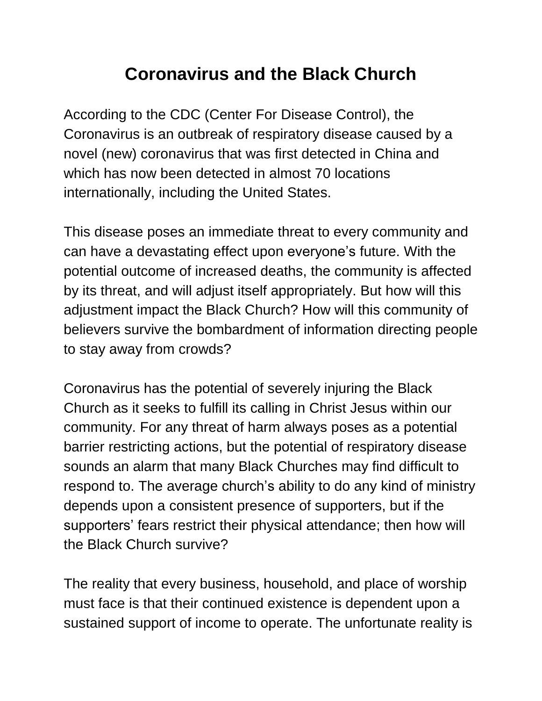## **Coronavirus and the Black Church**

According to the CDC (Center For Disease Control), the Coronavirus is an outbreak of respiratory disease caused by a novel (new) coronavirus that was first detected in China and which has now been detected in almost 70 locations internationally, including the United States.

This disease poses an immediate threat to every community and can have a devastating effect upon everyone's future. With the potential outcome of increased deaths, the community is affected by its threat, and will adjust itself appropriately. But how will this adjustment impact the Black Church? How will this community of believers survive the bombardment of information directing people to stay away from crowds?

Coronavirus has the potential of severely injuring the Black Church as it seeks to fulfill its calling in Christ Jesus within our community. For any threat of harm always poses as a potential barrier restricting actions, but the potential of respiratory disease sounds an alarm that many Black Churches may find difficult to respond to. The average church's ability to do any kind of ministry depends upon a consistent presence of supporters, but if the supporters' fears restrict their physical attendance; then how will the Black Church survive?

The reality that every business, household, and place of worship must face is that their continued existence is dependent upon a sustained support of income to operate. The unfortunate reality is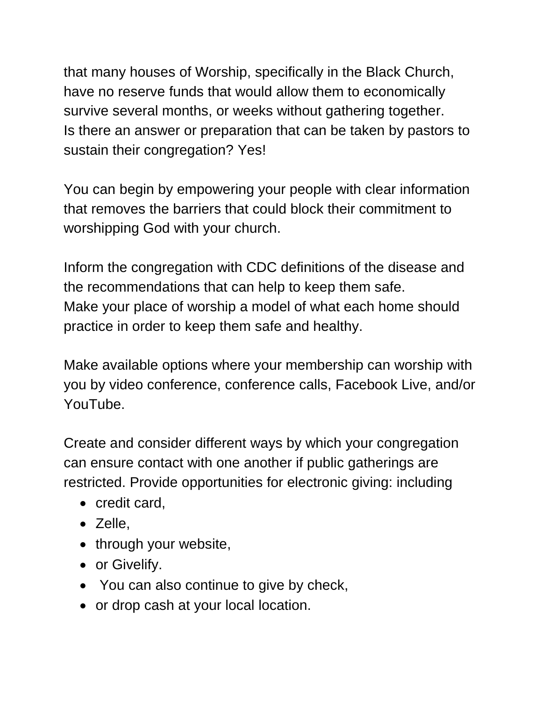that many houses of Worship, specifically in the Black Church, have no reserve funds that would allow them to economically survive several months, or weeks without gathering together. Is there an answer or preparation that can be taken by pastors to sustain their congregation? Yes!

You can begin by empowering your people with clear information that removes the barriers that could block their commitment to worshipping God with your church.

Inform the congregation with CDC definitions of the disease and the recommendations that can help to keep them safe. Make your place of worship a model of what each home should practice in order to keep them safe and healthy.

Make available options where your membership can worship with you by video conference, conference calls, Facebook Live, and/or YouTube.

Create and consider different ways by which your congregation can ensure contact with one another if public gatherings are restricted. Provide opportunities for electronic giving: including

- credit card.
- Zelle.
- through your website,
- or Givelify.
- You can also continue to give by check,
- or drop cash at your local location.